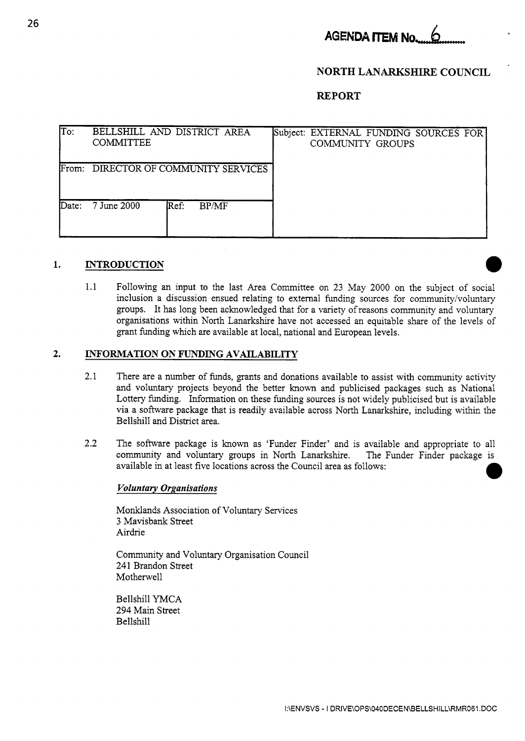

## **NORTH LANARKSHIRE COUNCIL**

**REPORT** 

| To:              | BELLSHILL AND DISTRICT AREA<br><b>COMMITTEE</b> | Subject: EXTERNAL FUNDING SOURCES FOR<br>COMMUNITY GROUPS |  |  |
|------------------|-------------------------------------------------|-----------------------------------------------------------|--|--|
| From:            | DIRECTOR OF COMMUNITY SERVICES                  |                                                           |  |  |
| $\mathbf{Date}:$ | 7 June 2000<br>Ref:<br><b>BP/MF</b>             |                                                           |  |  |

# **1. INTRODUCTION**

1.1 Following an input to the last Area Committee on 23 May 2000 on the subject of social inclusion a discussion ensued relating to external funding sources for community/voluntary groups. It has long been acknowledged that for a variety of reasons community and voluntary organisations within North Lanarkshire have not accessed an equitable share of the levels of grant funding which are available at local, national and European levels.

## **2. INFORMATION ON FUNDING AVAILABILITY**

- 2.1 There are a number of funds, grants and donations available to assist with community activity and voluntary projects beyond the better known and publicised packages such as National Lottery funding. Information on these funding sources is not widely publicised but is available via a software package that is readily available across North Lanarkshire, including within the Bellshill and District area.
- 2.2 The software package is known as 'Funder Finder' and is available and appropriate to all community and voluntary groups in North Lanarkshire. The Funder Finder package is available in at least five locations across the Council area as follows: *0*

#### *Voluntary Organisations*

Monklands Association of Voluntary Services 3 Mavisbank Street Airdrie

Community and Voluntary Organisation Council 241 Brandon Street Motherwell

Bellshill YMCA 294 Main Street Bellshill